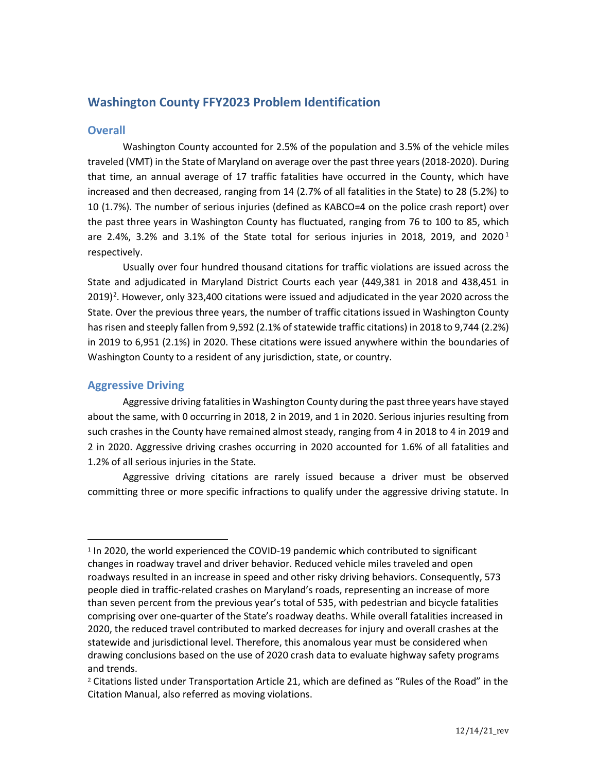# **Washington County FFY2023 Problem Identification**

### **Overall**

Washington County accounted for 2.5% of the population and 3.5% of the vehicle miles traveled (VMT) in the State of Maryland on average over the past three years (2018-2020). During that time, an annual average of 17 traffic fatalities have occurred in the County, which have increased and then decreased, ranging from 14 (2.7% of all fatalities in the State) to 28 (5.2%) to 10 (1.7%). The number of serious injuries (defined as KABCO=4 on the police crash report) over the past three years in Washington County has fluctuated, ranging from 76 to 100 to 85, which are 2.4%, 3.2% and 3.[1](#page-0-0)% of the State total for serious injuries in 2018, 2019, and 2020<sup>1</sup> respectively.

Usually over four hundred thousand citations for traffic violations are issued across the State and adjudicated in Maryland District Courts each year (449,381 in 2018 and 438,451 in  $2019)$  $2019)$ <sup>2</sup>. However, only 323,400 citations were issued and adjudicated in the year 2020 across the State. Over the previous three years, the number of traffic citations issued in Washington County has risen and steeply fallen from 9,592 (2.1% of statewide traffic citations) in 2018 to 9,744 (2.2%) in 2019 to 6,951 (2.1%) in 2020. These citations were issued anywhere within the boundaries of Washington County to a resident of any jurisdiction, state, or country.

# **Aggressive Driving**

Aggressive driving fatalities in Washington County during the past three years have stayed about the same, with 0 occurring in 2018, 2 in 2019, and 1 in 2020. Serious injuries resulting from such crashes in the County have remained almost steady, ranging from 4 in 2018 to 4 in 2019 and 2 in 2020. Aggressive driving crashes occurring in 2020 accounted for 1.6% of all fatalities and 1.2% of all serious injuries in the State.

Aggressive driving citations are rarely issued because a driver must be observed committing three or more specific infractions to qualify under the aggressive driving statute. In

<span id="page-0-0"></span><sup>&</sup>lt;sup>1</sup> In 2020, the world experienced the COVID-19 pandemic which contributed to significant changes in roadway travel and driver behavior. Reduced vehicle miles traveled and open roadways resulted in an increase in speed and other risky driving behaviors. Consequently, 573 people died in traffic-related crashes on Maryland's roads, representing an increase of more than seven percent from the previous year's total of 535, with pedestrian and bicycle fatalities comprising over one-quarter of the State's roadway deaths. While overall fatalities increased in 2020, the reduced travel contributed to marked decreases for injury and overall crashes at the statewide and jurisdictional level. Therefore, this anomalous year must be considered when drawing conclusions based on the use of 2020 crash data to evaluate highway safety programs and trends.

<span id="page-0-1"></span><sup>2</sup> Citations listed under Transportation Article 21, which are defined as "Rules of the Road" in the Citation Manual, also referred as moving violations.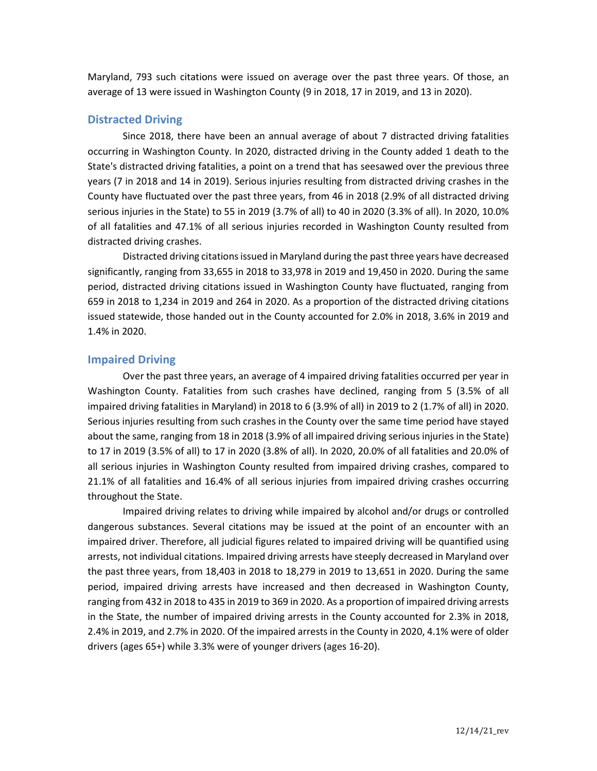Maryland, 793 such citations were issued on average over the past three years. Of those, an average of 13 were issued in Washington County (9 in 2018, 17 in 2019, and 13 in 2020).

# **Distracted Driving**

Since 2018, there have been an annual average of about 7 distracted driving fatalities occurring in Washington County. In 2020, distracted driving in the County added 1 death to the State's distracted driving fatalities, a point on a trend that has seesawed over the previous three years (7 in 2018 and 14 in 2019). Serious injuries resulting from distracted driving crashes in the County have fluctuated over the past three years, from 46 in 2018 (2.9% of all distracted driving serious injuries in the State) to 55 in 2019 (3.7% of all) to 40 in 2020 (3.3% of all). In 2020, 10.0% of all fatalities and 47.1% of all serious injuries recorded in Washington County resulted from distracted driving crashes.

Distracted driving citations issued in Maryland during the past three years have decreased significantly, ranging from 33,655 in 2018 to 33,978 in 2019 and 19,450 in 2020. During the same period, distracted driving citations issued in Washington County have fluctuated, ranging from 659 in 2018 to 1,234 in 2019 and 264 in 2020. As a proportion of the distracted driving citations issued statewide, those handed out in the County accounted for 2.0% in 2018, 3.6% in 2019 and 1.4% in 2020.

## **Impaired Driving**

Over the past three years, an average of 4 impaired driving fatalities occurred per year in Washington County. Fatalities from such crashes have declined, ranging from 5 (3.5% of all impaired driving fatalities in Maryland) in 2018 to 6 (3.9% of all) in 2019 to 2 (1.7% of all) in 2020. Serious injuries resulting from such crashes in the County over the same time period have stayed about the same, ranging from 18 in 2018 (3.9% of all impaired driving serious injuries in the State) to 17 in 2019 (3.5% of all) to 17 in 2020 (3.8% of all). In 2020, 20.0% of all fatalities and 20.0% of all serious injuries in Washington County resulted from impaired driving crashes, compared to 21.1% of all fatalities and 16.4% of all serious injuries from impaired driving crashes occurring throughout the State.

Impaired driving relates to driving while impaired by alcohol and/or drugs or controlled dangerous substances. Several citations may be issued at the point of an encounter with an impaired driver. Therefore, all judicial figures related to impaired driving will be quantified using arrests, not individual citations. Impaired driving arrests have steeply decreased in Maryland over the past three years, from 18,403 in 2018 to 18,279 in 2019 to 13,651 in 2020. During the same period, impaired driving arrests have increased and then decreased in Washington County, ranging from 432 in 2018 to 435 in 2019 to 369 in 2020. As a proportion of impaired driving arrests in the State, the number of impaired driving arrests in the County accounted for 2.3% in 2018, 2.4% in 2019, and 2.7% in 2020. Of the impaired arrests in the County in 2020, 4.1% were of older drivers (ages 65+) while 3.3% were of younger drivers (ages 16-20).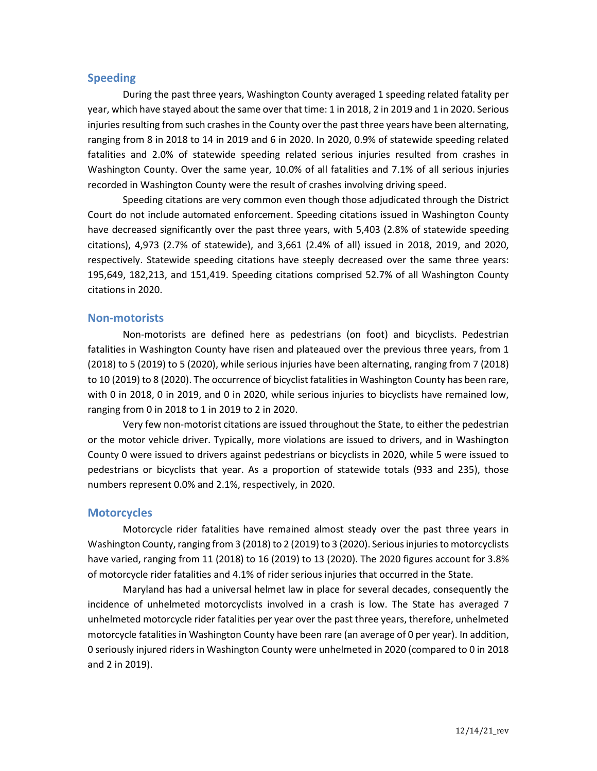### **Speeding**

During the past three years, Washington County averaged 1 speeding related fatality per year, which have stayed about the same over that time: 1 in 2018, 2 in 2019 and 1 in 2020. Serious injuries resulting from such crashes in the County over the past three years have been alternating, ranging from 8 in 2018 to 14 in 2019 and 6 in 2020. In 2020, 0.9% of statewide speeding related fatalities and 2.0% of statewide speeding related serious injuries resulted from crashes in Washington County. Over the same year, 10.0% of all fatalities and 7.1% of all serious injuries recorded in Washington County were the result of crashes involving driving speed.

Speeding citations are very common even though those adjudicated through the District Court do not include automated enforcement. Speeding citations issued in Washington County have decreased significantly over the past three years, with 5,403 (2.8% of statewide speeding citations), 4,973 (2.7% of statewide), and 3,661 (2.4% of all) issued in 2018, 2019, and 2020, respectively. Statewide speeding citations have steeply decreased over the same three years: 195,649, 182,213, and 151,419. Speeding citations comprised 52.7% of all Washington County citations in 2020.

#### **Non-motorists**

Non-motorists are defined here as pedestrians (on foot) and bicyclists. Pedestrian fatalities in Washington County have risen and plateaued over the previous three years, from 1 (2018) to 5 (2019) to 5 (2020), while serious injuries have been alternating, ranging from 7 (2018) to 10 (2019) to 8 (2020). The occurrence of bicyclist fatalities in Washington County has been rare, with 0 in 2018, 0 in 2019, and 0 in 2020, while serious injuries to bicyclists have remained low, ranging from 0 in 2018 to 1 in 2019 to 2 in 2020.

Very few non-motorist citations are issued throughout the State, to either the pedestrian or the motor vehicle driver. Typically, more violations are issued to drivers, and in Washington County 0 were issued to drivers against pedestrians or bicyclists in 2020, while 5 were issued to pedestrians or bicyclists that year. As a proportion of statewide totals (933 and 235), those numbers represent 0.0% and 2.1%, respectively, in 2020.

### **Motorcycles**

Motorcycle rider fatalities have remained almost steady over the past three years in Washington County, ranging from 3 (2018) to 2 (2019) to 3 (2020). Serious injuries to motorcyclists have varied, ranging from 11 (2018) to 16 (2019) to 13 (2020). The 2020 figures account for 3.8% of motorcycle rider fatalities and 4.1% of rider serious injuries that occurred in the State.

Maryland has had a universal helmet law in place for several decades, consequently the incidence of unhelmeted motorcyclists involved in a crash is low. The State has averaged 7 unhelmeted motorcycle rider fatalities per year over the past three years, therefore, unhelmeted motorcycle fatalities in Washington County have been rare (an average of 0 per year). In addition, 0 seriously injured riders in Washington County were unhelmeted in 2020 (compared to 0 in 2018 and 2 in 2019).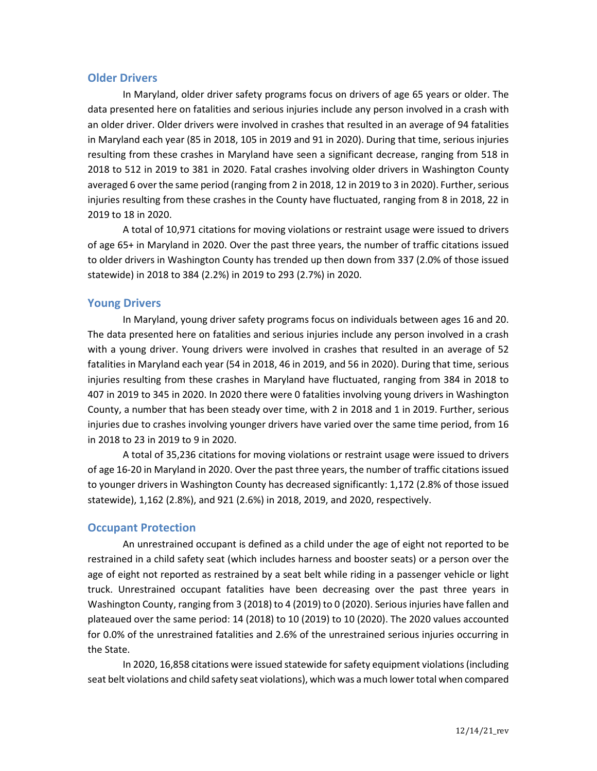# **Older Drivers**

In Maryland, older driver safety programs focus on drivers of age 65 years or older. The data presented here on fatalities and serious injuries include any person involved in a crash with an older driver. Older drivers were involved in crashes that resulted in an average of 94 fatalities in Maryland each year (85 in 2018, 105 in 2019 and 91 in 2020). During that time, serious injuries resulting from these crashes in Maryland have seen a significant decrease, ranging from 518 in 2018 to 512 in 2019 to 381 in 2020. Fatal crashes involving older drivers in Washington County averaged 6 over the same period (ranging from 2 in 2018, 12 in 2019 to 3 in 2020). Further, serious injuries resulting from these crashes in the County have fluctuated, ranging from 8 in 2018, 22 in 2019 to 18 in 2020.

A total of 10,971 citations for moving violations or restraint usage were issued to drivers of age 65+ in Maryland in 2020. Over the past three years, the number of traffic citations issued to older drivers in Washington County has trended up then down from 337 (2.0% of those issued statewide) in 2018 to 384 (2.2%) in 2019 to 293 (2.7%) in 2020.

## **Young Drivers**

In Maryland, young driver safety programs focus on individuals between ages 16 and 20. The data presented here on fatalities and serious injuries include any person involved in a crash with a young driver. Young drivers were involved in crashes that resulted in an average of 52 fatalities in Maryland each year (54 in 2018, 46 in 2019, and 56 in 2020). During that time, serious injuries resulting from these crashes in Maryland have fluctuated, ranging from 384 in 2018 to 407 in 2019 to 345 in 2020. In 2020 there were 0 fatalities involving young drivers in Washington County, a number that has been steady over time, with 2 in 2018 and 1 in 2019. Further, serious injuries due to crashes involving younger drivers have varied over the same time period, from 16 in 2018 to 23 in 2019 to 9 in 2020.

A total of 35,236 citations for moving violations or restraint usage were issued to drivers of age 16-20 in Maryland in 2020. Over the past three years, the number of traffic citations issued to younger drivers in Washington County has decreased significantly: 1,172 (2.8% of those issued statewide), 1,162 (2.8%), and 921 (2.6%) in 2018, 2019, and 2020, respectively.

### **Occupant Protection**

An unrestrained occupant is defined as a child under the age of eight not reported to be restrained in a child safety seat (which includes harness and booster seats) or a person over the age of eight not reported as restrained by a seat belt while riding in a passenger vehicle or light truck. Unrestrained occupant fatalities have been decreasing over the past three years in Washington County, ranging from 3 (2018) to 4 (2019) to 0 (2020). Serious injuries have fallen and plateaued over the same period: 14 (2018) to 10 (2019) to 10 (2020). The 2020 values accounted for 0.0% of the unrestrained fatalities and 2.6% of the unrestrained serious injuries occurring in the State.

In 2020, 16,858 citations were issued statewide for safety equipment violations(including seat belt violations and child safety seat violations), which was a much lower total when compared